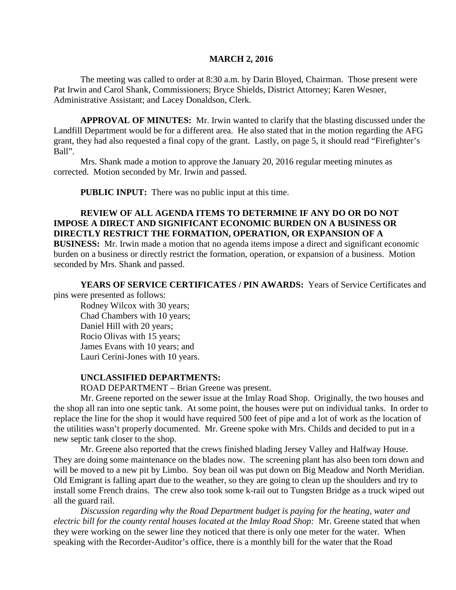#### **MARCH 2, 2016**

The meeting was called to order at 8:30 a.m. by Darin Bloyed, Chairman. Those present were Pat Irwin and Carol Shank, Commissioners; Bryce Shields, District Attorney; Karen Wesner, Administrative Assistant; and Lacey Donaldson, Clerk.

**APPROVAL OF MINUTES:** Mr. Irwin wanted to clarify that the blasting discussed under the Landfill Department would be for a different area. He also stated that in the motion regarding the AFG grant, they had also requested a final copy of the grant. Lastly, on page 5, it should read "Firefighter's Ball".

Mrs. Shank made a motion to approve the January 20, 2016 regular meeting minutes as corrected. Motion seconded by Mr. Irwin and passed.

 **PUBLIC INPUT:** There was no public input at this time.

## **REVIEW OF ALL AGENDA ITEMS TO DETERMINE IF ANY DO OR DO NOT IMPOSE A DIRECT AND SIGNIFICANT ECONOMIC BURDEN ON A BUSINESS OR DIRECTLY RESTRICT THE FORMATION, OPERATION, OR EXPANSION OF A**

**BUSINESS:** Mr. Irwin made a motion that no agenda items impose a direct and significant economic burden on a business or directly restrict the formation, operation, or expansion of a business. Motion seconded by Mrs. Shank and passed.

**YEARS OF SERVICE CERTIFICATES / PIN AWARDS:** Years of Service Certificates and pins were presented as follows:

Rodney Wilcox with 30 years; Chad Chambers with 10 years; Daniel Hill with 20 years; Rocio Olivas with 15 years; James Evans with 10 years; and Lauri Cerini-Jones with 10 years.

#### **UNCLASSIFIED DEPARTMENTS:**

ROAD DEPARTMENT – Brian Greene was present.

Mr. Greene reported on the sewer issue at the Imlay Road Shop. Originally, the two houses and the shop all ran into one septic tank. At some point, the houses were put on individual tanks. In order to replace the line for the shop it would have required 500 feet of pipe and a lot of work as the location of the utilities wasn't properly documented. Mr. Greene spoke with Mrs. Childs and decided to put in a new septic tank closer to the shop.

Mr. Greene also reported that the crews finished blading Jersey Valley and Halfway House. They are doing some maintenance on the blades now. The screening plant has also been torn down and will be moved to a new pit by Limbo. Soy bean oil was put down on Big Meadow and North Meridian. Old Emigrant is falling apart due to the weather, so they are going to clean up the shoulders and try to install some French drains. The crew also took some k-rail out to Tungsten Bridge as a truck wiped out all the guard rail.

*Discussion regarding why the Road Department budget is paying for the heating, water and electric bill for the county rental houses located at the Imlay Road Shop:* Mr. Greene stated that when they were working on the sewer line they noticed that there is only one meter for the water. When speaking with the Recorder-Auditor's office, there is a monthly bill for the water that the Road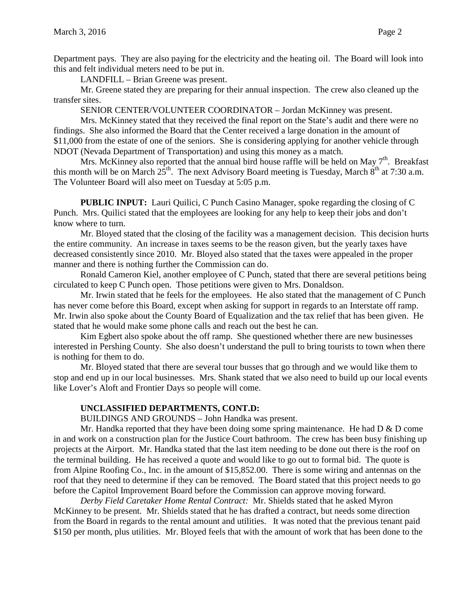Department pays. They are also paying for the electricity and the heating oil. The Board will look into this and felt individual meters need to be put in.

LANDFILL – Brian Greene was present.

Mr. Greene stated they are preparing for their annual inspection. The crew also cleaned up the transfer sites.

SENIOR CENTER/VOLUNTEER COORDINATOR – Jordan McKinney was present.

Mrs. McKinney stated that they received the final report on the State's audit and there were no findings. She also informed the Board that the Center received a large donation in the amount of \$11,000 from the estate of one of the seniors. She is considering applying for another vehicle through NDOT (Nevada Department of Transportation) and using this money as a match.

Mrs. McKinney also reported that the annual bird house raffle will be held on May  $7<sup>th</sup>$ . Breakfast this month will be on March  $25^{th}$ . The next Advisory Board meeting is Tuesday, March  $8^{th}$  at 7:30 a.m. The Volunteer Board will also meet on Tuesday at 5:05 p.m.

**PUBLIC INPUT:** Lauri Quilici, C Punch Casino Manager, spoke regarding the closing of C Punch. Mrs. Quilici stated that the employees are looking for any help to keep their jobs and don't know where to turn.

Mr. Bloyed stated that the closing of the facility was a management decision. This decision hurts the entire community. An increase in taxes seems to be the reason given, but the yearly taxes have decreased consistently since 2010. Mr. Bloyed also stated that the taxes were appealed in the proper manner and there is nothing further the Commission can do.

Ronald Cameron Kiel, another employee of C Punch, stated that there are several petitions being circulated to keep C Punch open. Those petitions were given to Mrs. Donaldson.

Mr. Irwin stated that he feels for the employees. He also stated that the management of C Punch has never come before this Board, except when asking for support in regards to an Interstate off ramp. Mr. Irwin also spoke about the County Board of Equalization and the tax relief that has been given. He stated that he would make some phone calls and reach out the best he can.

Kim Egbert also spoke about the off ramp. She questioned whether there are new businesses interested in Pershing County. She also doesn't understand the pull to bring tourists to town when there is nothing for them to do.

Mr. Bloyed stated that there are several tour busses that go through and we would like them to stop and end up in our local businesses. Mrs. Shank stated that we also need to build up our local events like Lover's Aloft and Frontier Days so people will come.

## **UNCLASSIFIED DEPARTMENTS, CONT.D:**

BUILDINGS AND GROUNDS – John Handka was present.

Mr. Handka reported that they have been doing some spring maintenance. He had  $D \& D$  come in and work on a construction plan for the Justice Court bathroom. The crew has been busy finishing up projects at the Airport. Mr. Handka stated that the last item needing to be done out there is the roof on the terminal building. He has received a quote and would like to go out to formal bid. The quote is from Alpine Roofing Co., Inc. in the amount of \$15,852.00. There is some wiring and antennas on the roof that they need to determine if they can be removed. The Board stated that this project needs to go before the Capitol Improvement Board before the Commission can approve moving forward.

*Derby Field Caretaker Home Rental Contract:* Mr. Shields stated that he asked Myron McKinney to be present. Mr. Shields stated that he has drafted a contract, but needs some direction from the Board in regards to the rental amount and utilities. It was noted that the previous tenant paid \$150 per month, plus utilities. Mr. Bloyed feels that with the amount of work that has been done to the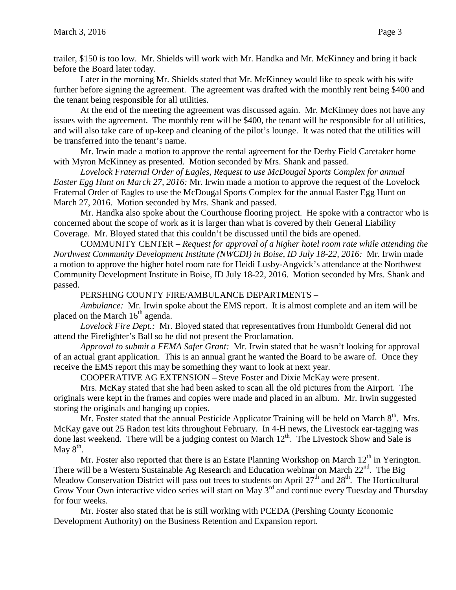Later in the morning Mr. Shields stated that Mr. McKinney would like to speak with his wife further before signing the agreement. The agreement was drafted with the monthly rent being \$400 and the tenant being responsible for all utilities.

At the end of the meeting the agreement was discussed again. Mr. McKinney does not have any issues with the agreement. The monthly rent will be \$400, the tenant will be responsible for all utilities, and will also take care of up-keep and cleaning of the pilot's lounge. It was noted that the utilities will be transferred into the tenant's name.

Mr. Irwin made a motion to approve the rental agreement for the Derby Field Caretaker home with Myron McKinney as presented. Motion seconded by Mrs. Shank and passed.

*Lovelock Fraternal Order of Eagles, Request to use McDougal Sports Complex for annual Easter Egg Hunt on March 27, 2016:* Mr. Irwin made a motion to approve the request of the Lovelock Fraternal Order of Eagles to use the McDougal Sports Complex for the annual Easter Egg Hunt on March 27, 2016. Motion seconded by Mrs. Shank and passed.

Mr. Handka also spoke about the Courthouse flooring project. He spoke with a contractor who is concerned about the scope of work as it is larger than what is covered by their General Liability Coverage. Mr. Bloyed stated that this couldn't be discussed until the bids are opened.

COMMUNITY CENTER – *Request for approval of a higher hotel room rate while attending the Northwest Community Development Institute (NWCDI) in Boise, ID July 18-22, 2016:* Mr. Irwin made a motion to approve the higher hotel room rate for Heidi Lusby-Angvick's attendance at the Northwest Community Development Institute in Boise, ID July 18-22, 2016. Motion seconded by Mrs. Shank and passed.

PERSHING COUNTY FIRE/AMBULANCE DEPARTMENTS –

*Ambulance:* Mr. Irwin spoke about the EMS report. It is almost complete and an item will be placed on the March  $16<sup>th</sup>$  agenda.

*Lovelock Fire Dept.:* Mr. Bloyed stated that representatives from Humboldt General did not attend the Firefighter's Ball so he did not present the Proclamation.

*Approval to submit a FEMA Safer Grant:* Mr. Irwin stated that he wasn't looking for approval of an actual grant application. This is an annual grant he wanted the Board to be aware of. Once they receive the EMS report this may be something they want to look at next year.

COOPERATIVE AG EXTENSION – Steve Foster and Dixie McKay were present.

Mrs. McKay stated that she had been asked to scan all the old pictures from the Airport. The originals were kept in the frames and copies were made and placed in an album. Mr. Irwin suggested storing the originals and hanging up copies.

Mr. Foster stated that the annual Pesticide Applicator Training will be held on March  $8<sup>th</sup>$ . Mrs. McKay gave out 25 Radon test kits throughout February. In 4-H news, the Livestock ear-tagging was done last weekend. There will be a judging contest on March  $12<sup>th</sup>$ . The Livestock Show and Sale is May  $8^{\text{th}}$ .

Mr. Foster also reported that there is an Estate Planning Workshop on March  $12<sup>th</sup>$  in Yerington. There will be a Western Sustainable Ag Research and Education webinar on March 22<sup>nd</sup>. The Big Meadow Conservation District will pass out trees to students on April  $27<sup>th</sup>$  and  $28<sup>th</sup>$ . The Horticultural Grow Your Own interactive video series will start on May 3<sup>rd</sup> and continue every Tuesday and Thursday for four weeks.

Mr. Foster also stated that he is still working with PCEDA (Pershing County Economic Development Authority) on the Business Retention and Expansion report.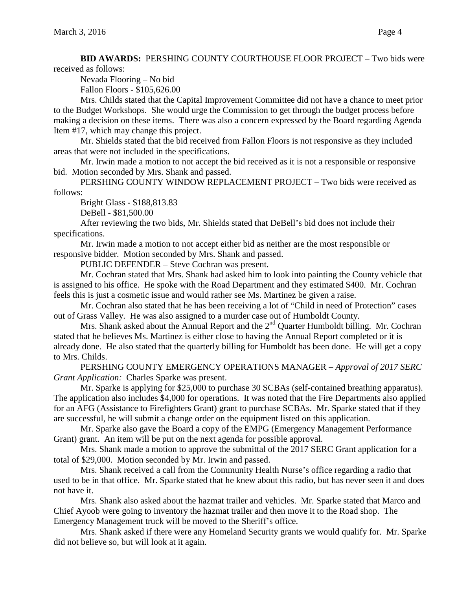**BID AWARDS:** PERSHING COUNTY COURTHOUSE FLOOR PROJECT – Two bids were received as follows:

Nevada Flooring – No bid

Fallon Floors - \$105,626.00

Mrs. Childs stated that the Capital Improvement Committee did not have a chance to meet prior to the Budget Workshops. She would urge the Commission to get through the budget process before making a decision on these items. There was also a concern expressed by the Board regarding Agenda Item #17, which may change this project.

Mr. Shields stated that the bid received from Fallon Floors is not responsive as they included areas that were not included in the specifications.

Mr. Irwin made a motion to not accept the bid received as it is not a responsible or responsive bid. Motion seconded by Mrs. Shank and passed.

PERSHING COUNTY WINDOW REPLACEMENT PROJECT – Two bids were received as follows:

Bright Glass - \$188,813.83

DeBell - \$81,500.00

After reviewing the two bids, Mr. Shields stated that DeBell's bid does not include their specifications.

Mr. Irwin made a motion to not accept either bid as neither are the most responsible or responsive bidder. Motion seconded by Mrs. Shank and passed.

PUBLIC DEFENDER – Steve Cochran was present.

Mr. Cochran stated that Mrs. Shank had asked him to look into painting the County vehicle that is assigned to his office. He spoke with the Road Department and they estimated \$400. Mr. Cochran feels this is just a cosmetic issue and would rather see Ms. Martinez be given a raise.

Mr. Cochran also stated that he has been receiving a lot of "Child in need of Protection" cases out of Grass Valley. He was also assigned to a murder case out of Humboldt County.

Mrs. Shank asked about the Annual Report and the  $2<sup>nd</sup>$  Quarter Humboldt billing. Mr. Cochran stated that he believes Ms. Martinez is either close to having the Annual Report completed or it is already done. He also stated that the quarterly billing for Humboldt has been done. He will get a copy to Mrs. Childs.

PERSHING COUNTY EMERGENCY OPERATIONS MANAGER – *Approval of 2017 SERC Grant Application:* Charles Sparke was present.

Mr. Sparke is applying for \$25,000 to purchase 30 SCBAs (self-contained breathing apparatus). The application also includes \$4,000 for operations. It was noted that the Fire Departments also applied for an AFG (Assistance to Firefighters Grant) grant to purchase SCBAs. Mr. Sparke stated that if they are successful, he will submit a change order on the equipment listed on this application.

Mr. Sparke also gave the Board a copy of the EMPG (Emergency Management Performance Grant) grant. An item will be put on the next agenda for possible approval.

Mrs. Shank made a motion to approve the submittal of the 2017 SERC Grant application for a total of \$29,000. Motion seconded by Mr. Irwin and passed.

Mrs. Shank received a call from the Community Health Nurse's office regarding a radio that used to be in that office. Mr. Sparke stated that he knew about this radio, but has never seen it and does not have it.

Mrs. Shank also asked about the hazmat trailer and vehicles. Mr. Sparke stated that Marco and Chief Ayoob were going to inventory the hazmat trailer and then move it to the Road shop. The Emergency Management truck will be moved to the Sheriff's office.

Mrs. Shank asked if there were any Homeland Security grants we would qualify for. Mr. Sparke did not believe so, but will look at it again.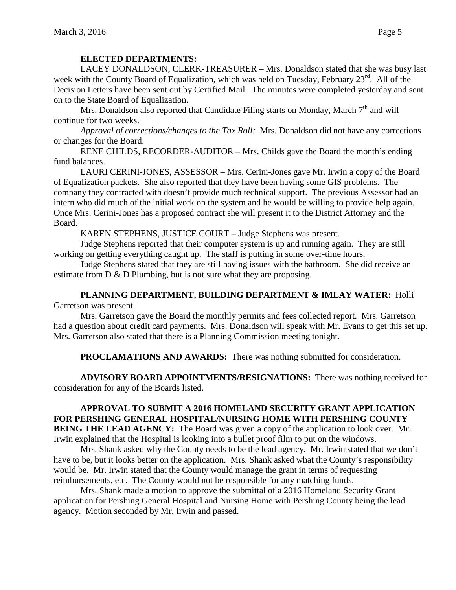## **ELECTED DEPARTMENTS:**

LACEY DONALDSON, CLERK-TREASURER – Mrs. Donaldson stated that she was busy last week with the County Board of Equalization, which was held on Tuesday, February 23<sup>rd</sup>. All of the Decision Letters have been sent out by Certified Mail. The minutes were completed yesterday and sent on to the State Board of Equalization.

Mrs. Donaldson also reported that Candidate Filing starts on Monday, March  $7<sup>th</sup>$  and will continue for two weeks.

*Approval of corrections/changes to the Tax Roll:* Mrs. Donaldson did not have any corrections or changes for the Board.

RENE CHILDS, RECORDER-AUDITOR – Mrs. Childs gave the Board the month's ending fund balances.

LAURI CERINI-JONES, ASSESSOR – Mrs. Cerini-Jones gave Mr. Irwin a copy of the Board of Equalization packets. She also reported that they have been having some GIS problems. The company they contracted with doesn't provide much technical support. The previous Assessor had an intern who did much of the initial work on the system and he would be willing to provide help again. Once Mrs. Cerini-Jones has a proposed contract she will present it to the District Attorney and the Board.

KAREN STEPHENS, JUSTICE COURT – Judge Stephens was present.

Judge Stephens reported that their computer system is up and running again. They are still working on getting everything caught up. The staff is putting in some over-time hours.

Judge Stephens stated that they are still having issues with the bathroom. She did receive an estimate from D & D Plumbing, but is not sure what they are proposing.

### **PLANNING DEPARTMENT, BUILDING DEPARTMENT & IMLAY WATER:** Holli Garretson was present.

Mrs. Garretson gave the Board the monthly permits and fees collected report. Mrs. Garretson had a question about credit card payments. Mrs. Donaldson will speak with Mr. Evans to get this set up. Mrs. Garretson also stated that there is a Planning Commission meeting tonight.

**PROCLAMATIONS AND AWARDS:** There was nothing submitted for consideration.

**ADVISORY BOARD APPOINTMENTS/RESIGNATIONS:** There was nothing received for consideration for any of the Boards listed.

**APPROVAL TO SUBMIT A 2016 HOMELAND SECURITY GRANT APPLICATION FOR PERSHING GENERAL HOSPITAL/NURSING HOME WITH PERSHING COUNTY BEING THE LEAD AGENCY:** The Board was given a copy of the application to look over. Mr. Irwin explained that the Hospital is looking into a bullet proof film to put on the windows.

Mrs. Shank asked why the County needs to be the lead agency. Mr. Irwin stated that we don't have to be, but it looks better on the application. Mrs. Shank asked what the County's responsibility would be. Mr. Irwin stated that the County would manage the grant in terms of requesting reimbursements, etc. The County would not be responsible for any matching funds.

Mrs. Shank made a motion to approve the submittal of a 2016 Homeland Security Grant application for Pershing General Hospital and Nursing Home with Pershing County being the lead agency. Motion seconded by Mr. Irwin and passed.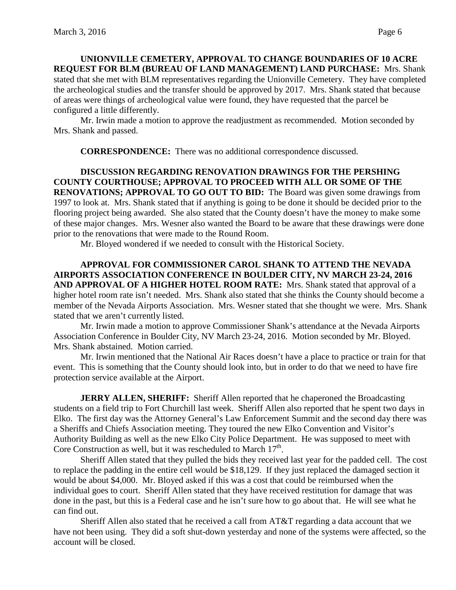**UNIONVILLE CEMETERY, APPROVAL TO CHANGE BOUNDARIES OF 10 ACRE REQUEST FOR BLM (BUREAU OF LAND MANAGEMENT) LAND PURCHASE:** Mrs. Shank stated that she met with BLM representatives regarding the Unionville Cemetery. They have completed the archeological studies and the transfer should be approved by 2017. Mrs. Shank stated that because of areas were things of archeological value were found, they have requested that the parcel be configured a little differently.

Mr. Irwin made a motion to approve the readjustment as recommended. Motion seconded by Mrs. Shank and passed.

**CORRESPONDENCE:** There was no additional correspondence discussed.

## **DISCUSSION REGARDING RENOVATION DRAWINGS FOR THE PERSHING COUNTY COURTHOUSE; APPROVAL TO PROCEED WITH ALL OR SOME OF THE RENOVATIONS; APPROVAL TO GO OUT TO BID:** The Board was given some drawings from 1997 to look at. Mrs. Shank stated that if anything is going to be done it should be decided prior to the flooring project being awarded. She also stated that the County doesn't have the money to make some of these major changes. Mrs. Wesner also wanted the Board to be aware that these drawings were done prior to the renovations that were made to the Round Room.

Mr. Bloyed wondered if we needed to consult with the Historical Society.

**APPROVAL FOR COMMISSIONER CAROL SHANK TO ATTEND THE NEVADA AIRPORTS ASSOCIATION CONFERENCE IN BOULDER CITY, NV MARCH 23-24, 2016 AND APPROVAL OF A HIGHER HOTEL ROOM RATE:** Mrs. Shank stated that approval of a higher hotel room rate isn't needed. Mrs. Shank also stated that she thinks the County should become a member of the Nevada Airports Association. Mrs. Wesner stated that she thought we were. Mrs. Shank stated that we aren't currently listed.

Mr. Irwin made a motion to approve Commissioner Shank's attendance at the Nevada Airports Association Conference in Boulder City, NV March 23-24, 2016. Motion seconded by Mr. Bloyed. Mrs. Shank abstained. Motion carried.

Mr. Irwin mentioned that the National Air Races doesn't have a place to practice or train for that event. This is something that the County should look into, but in order to do that we need to have fire protection service available at the Airport.

**JERRY ALLEN, SHERIFF:** Sheriff Allen reported that he chaperoned the Broadcasting students on a field trip to Fort Churchill last week. Sheriff Allen also reported that he spent two days in Elko. The first day was the Attorney General's Law Enforcement Summit and the second day there was a Sheriffs and Chiefs Association meeting. They toured the new Elko Convention and Visitor's Authority Building as well as the new Elko City Police Department. He was supposed to meet with Core Construction as well, but it was rescheduled to March  $17<sup>th</sup>$ .

Sheriff Allen stated that they pulled the bids they received last year for the padded cell. The cost to replace the padding in the entire cell would be \$18,129. If they just replaced the damaged section it would be about \$4,000. Mr. Bloyed asked if this was a cost that could be reimbursed when the individual goes to court. Sheriff Allen stated that they have received restitution for damage that was done in the past, but this is a Federal case and he isn't sure how to go about that. He will see what he can find out.

Sheriff Allen also stated that he received a call from AT&T regarding a data account that we have not been using. They did a soft shut-down yesterday and none of the systems were affected, so the account will be closed.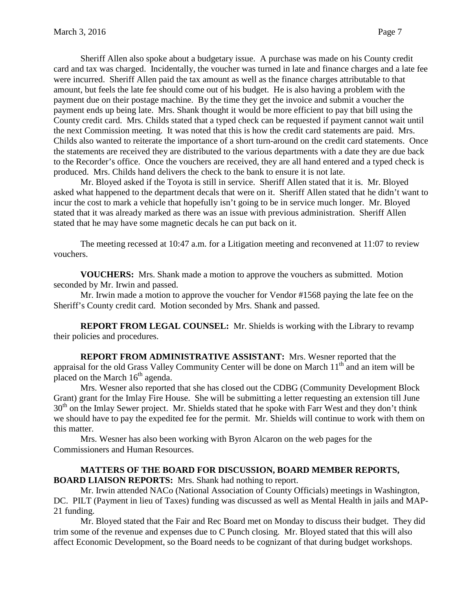Sheriff Allen also spoke about a budgetary issue. A purchase was made on his County credit card and tax was charged. Incidentally, the voucher was turned in late and finance charges and a late fee were incurred. Sheriff Allen paid the tax amount as well as the finance charges attributable to that amount, but feels the late fee should come out of his budget. He is also having a problem with the payment due on their postage machine. By the time they get the invoice and submit a voucher the payment ends up being late. Mrs. Shank thought it would be more efficient to pay that bill using the County credit card. Mrs. Childs stated that a typed check can be requested if payment cannot wait until the next Commission meeting. It was noted that this is how the credit card statements are paid. Mrs. Childs also wanted to reiterate the importance of a short turn-around on the credit card statements. Once the statements are received they are distributed to the various departments with a date they are due back to the Recorder's office. Once the vouchers are received, they are all hand entered and a typed check is produced. Mrs. Childs hand delivers the check to the bank to ensure it is not late.

Mr. Bloyed asked if the Toyota is still in service. Sheriff Allen stated that it is. Mr. Bloyed asked what happened to the department decals that were on it. Sheriff Allen stated that he didn't want to incur the cost to mark a vehicle that hopefully isn't going to be in service much longer. Mr. Bloyed stated that it was already marked as there was an issue with previous administration. Sheriff Allen stated that he may have some magnetic decals he can put back on it.

The meeting recessed at 10:47 a.m. for a Litigation meeting and reconvened at 11:07 to review vouchers.

**VOUCHERS:** Mrs. Shank made a motion to approve the vouchers as submitted. Motion seconded by Mr. Irwin and passed.

Mr. Irwin made a motion to approve the voucher for Vendor #1568 paying the late fee on the Sheriff's County credit card. Motion seconded by Mrs. Shank and passed.

**REPORT FROM LEGAL COUNSEL:** Mr. Shields is working with the Library to revamp their policies and procedures.

**REPORT FROM ADMINISTRATIVE ASSISTANT:** Mrs. Wesner reported that the appraisal for the old Grass Valley Community Center will be done on March  $11<sup>th</sup>$  and an item will be placed on the March  $16<sup>th</sup>$  agenda.

Mrs. Wesner also reported that she has closed out the CDBG (Community Development Block Grant) grant for the Imlay Fire House. She will be submitting a letter requesting an extension till June  $30<sup>th</sup>$  on the Imlay Sewer project. Mr. Shields stated that he spoke with Farr West and they don't think we should have to pay the expedited fee for the permit. Mr. Shields will continue to work with them on this matter.

Mrs. Wesner has also been working with Byron Alcaron on the web pages for the Commissioners and Human Resources.

## **MATTERS OF THE BOARD FOR DISCUSSION, BOARD MEMBER REPORTS, BOARD LIAISON REPORTS:** Mrs. Shank had nothing to report.

Mr. Irwin attended NACo (National Association of County Officials) meetings in Washington, DC. PILT (Payment in lieu of Taxes) funding was discussed as well as Mental Health in jails and MAP-21 funding.

Mr. Bloyed stated that the Fair and Rec Board met on Monday to discuss their budget. They did trim some of the revenue and expenses due to C Punch closing. Mr. Bloyed stated that this will also affect Economic Development, so the Board needs to be cognizant of that during budget workshops.